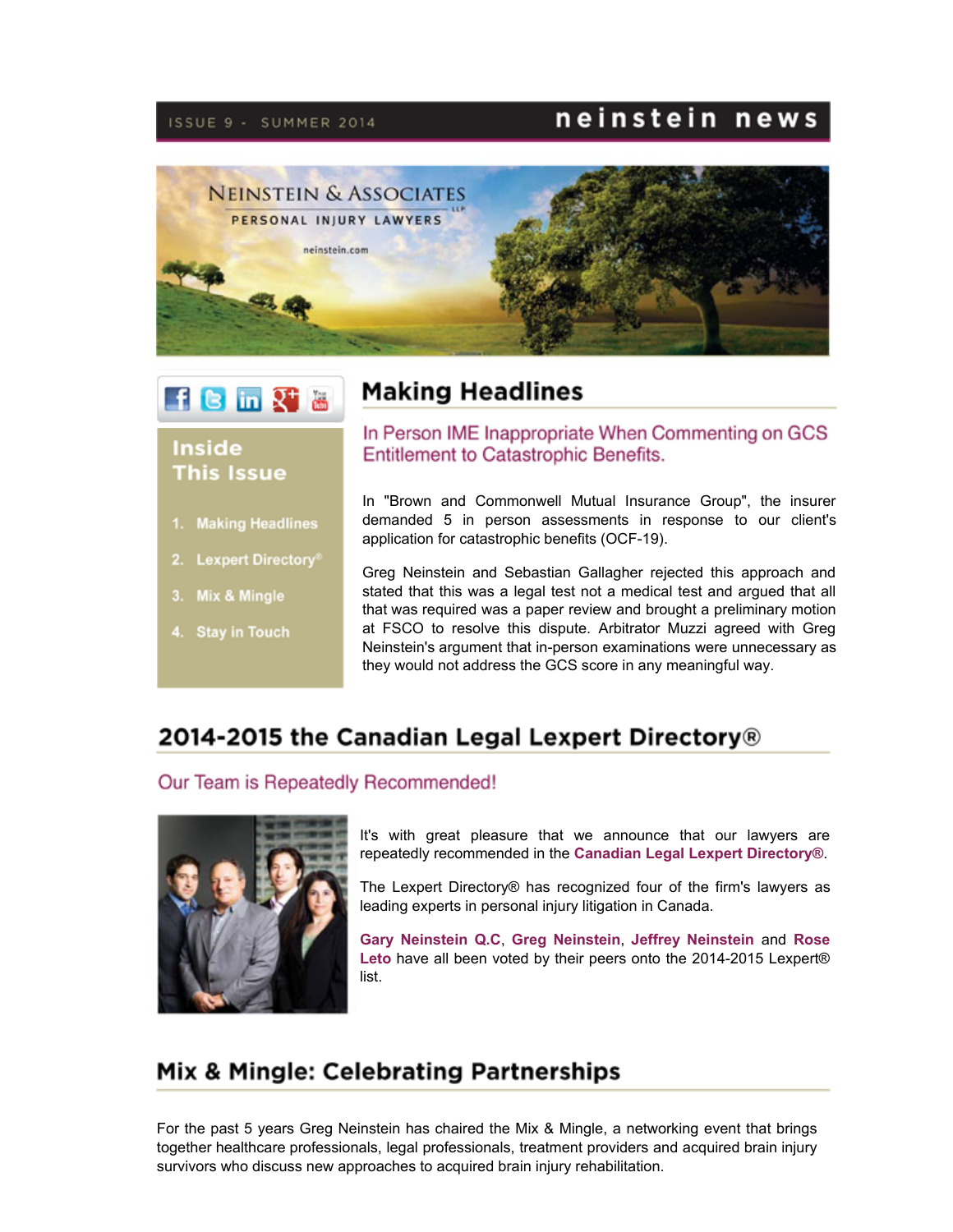#### ISSUE 9 - SUMMER 2014

## neinstein news



**Making Headlines** 



### **Inside This Issue**

- 1. Making Headlines
- 2. Lexpert Directory®
- 3. Mix & Mingle
- 4. Stay in Touch

#### In Person IME Inappropriate When Commenting on GCS **Entitlement to Catastrophic Benefits.**

In "Brown and Commonwell Mutual Insurance Group", the insurer demanded 5 in person assessments in response to our client's application for catastrophic benefits (OCF-19).

Greg Neinstein and Sebastian Gallagher rejected this approach and stated that this was a legal test not a medical test and argued that all that was required was a paper review and brought a preliminary motion at FSCO to resolve this dispute. Arbitrator Muzzi agreed with Greg Neinstein's argument that in-person examinations were unnecessary as they would not address the GCS score in any meaningful way.

## 2014-2015 the Canadian Legal Lexpert Directory®

#### Our Team is Repeatedly Recommended!



It's with great pleasure that we announce that our lawyers are repeatedly recommended in the **Canadian Legal Lexpert [Directory®](http://www.lexpert.ca/directory/Firm/neinstein-and-associates-llp-452/listees/)**.

The Lexpert Directory® has recognized four of the firm's lawyers as leading experts in personal injury litigation in Canada.

**Gary [Neinstein](http://www.lexpert.ca/directory/practitioner/neinstein-and-associates-llp-452/gary-neinstein-3049/) Q.C**, **Greg [Neinstein](http://www.lexpert.ca/directory/practitioner/neinstein-and-associates-llp-452/gregory-neinstein-66820/)**, **Jeffrey [Neinstein](http://www.lexpert.ca/directory/practitioner/neinstein-and-associates-llp-452/jeffrey-neinstein-66821/)** and **Rose** Leto have all been voted by their peers onto the 2014-2015 Lexpert® list.

## Mix & Mingle: Celebrating Partnerships

For the past 5 years Greg Neinstein has chaired the Mix & Mingle, a networking event that brings together healthcare professionals, legal professionals, treatment providers and acquired brain injury survivors who discuss new approaches to acquired brain injury rehabilitation.